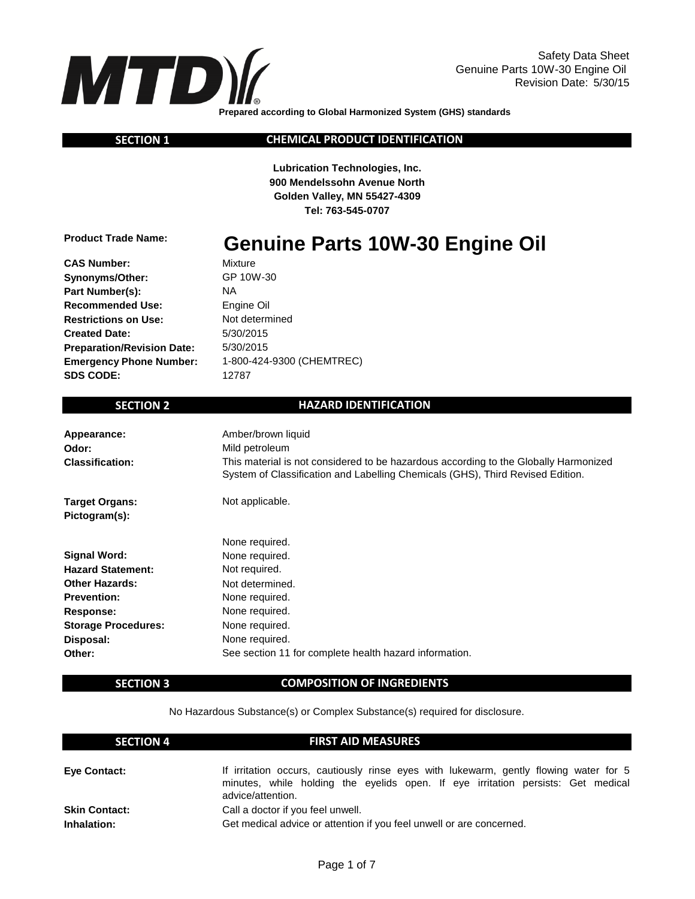

 **SECTION 1**

**CHEMICAL PRODUCT IDENTIFICATION**

**Lubrication Technologies, Inc. 900 Mendelssohn Avenue North Golden Valley, MN 55427-4309 Tel: 763-545-0707**

**Product Trade Name:**

# **Genuine Parts 10W-30 Engine Oil**

NA 1-800-424-9300 (CHEMTREC) 5/30/2015 12787 5/30/2015 Not determined Engine Oil GP 10W-30 Mixture

## **SECTION 2**

#### **HAZARD IDENTIFICATION**

| Appearance:<br>Odor:<br><b>Classification:</b> | Amber/brown liquid<br>Mild petroleum<br>This material is not considered to be hazardous according to the Globally Harmonized<br>System of Classification and Labelling Chemicals (GHS), Third Revised Edition. |
|------------------------------------------------|----------------------------------------------------------------------------------------------------------------------------------------------------------------------------------------------------------------|
| <b>Target Organs:</b><br>Pictogram(s):         | Not applicable.                                                                                                                                                                                                |
|                                                | None required.                                                                                                                                                                                                 |
| <b>Signal Word:</b>                            | None required.                                                                                                                                                                                                 |
| <b>Hazard Statement:</b>                       | Not required.                                                                                                                                                                                                  |
| <b>Other Hazards:</b>                          | Not determined.                                                                                                                                                                                                |
| <b>Prevention:</b>                             | None required.                                                                                                                                                                                                 |
| Response:                                      | None required.                                                                                                                                                                                                 |
| <b>Storage Procedures:</b>                     | None required.                                                                                                                                                                                                 |
| Disposal:                                      | None required.                                                                                                                                                                                                 |
| Other:                                         | See section 11 for complete health hazard information.                                                                                                                                                         |

#### **SECTION 3**

#### **COMPOSITION OF INGREDIENTS**

No Hazardous Substance(s) or Complex Substance(s) required for disclosure.

| <b>SECTION 4</b>     | <b>FIRST AID MEASURES</b>                                                                                                                                                                      |
|----------------------|------------------------------------------------------------------------------------------------------------------------------------------------------------------------------------------------|
| <b>Eve Contact:</b>  | If irritation occurs, cautiously rinse eyes with lukewarm, gently flowing water for 5<br>minutes, while holding the eyelids open. If eye irritation persists: Get medical<br>advice/attention. |
| <b>Skin Contact:</b> | Call a doctor if you feel unwell.                                                                                                                                                              |
| Inhalation:          | Get medical advice or attention if you feel unwell or are concerned.                                                                                                                           |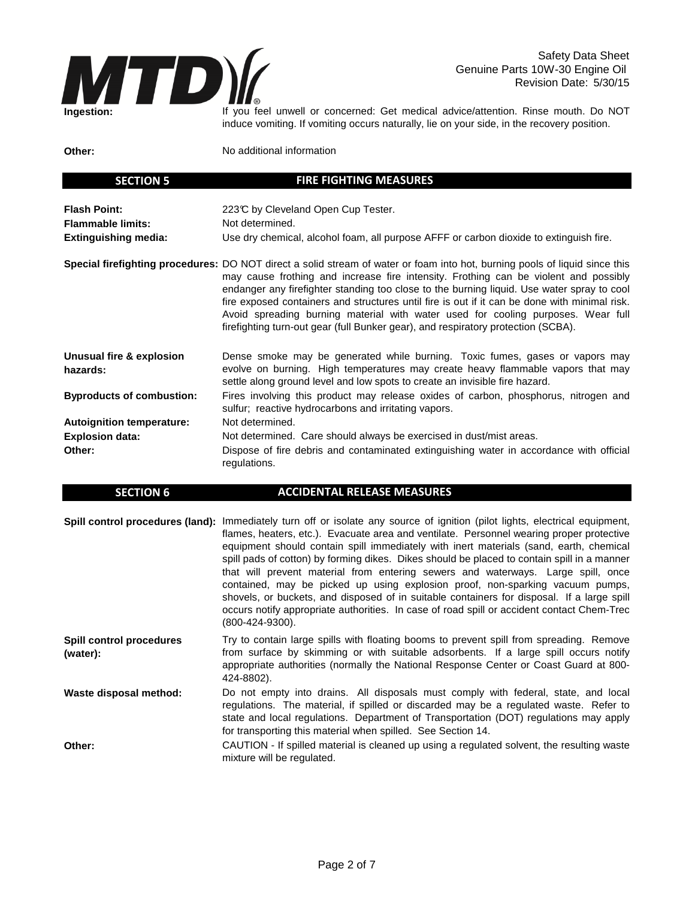

 **SECTION 5**

If you feel unwell or concerned: Get medical advice/attention. Rinse mouth. Do NOT induce vomiting. If vomiting occurs naturally, lie on your side, in the recovery position.

**Other:**

No additional information

| <b>SECTION</b> 5                                                               | FINE FIGHTING MEASONES                                                                                                                                                                                                                                                                                                                                                                                                                                                                                                                                                                      |
|--------------------------------------------------------------------------------|---------------------------------------------------------------------------------------------------------------------------------------------------------------------------------------------------------------------------------------------------------------------------------------------------------------------------------------------------------------------------------------------------------------------------------------------------------------------------------------------------------------------------------------------------------------------------------------------|
| <b>Flash Point:</b><br><b>Flammable limits:</b><br><b>Extinguishing media:</b> | 223℃ by Cleveland Open Cup Tester.<br>Not determined.<br>Use dry chemical, alcohol foam, all purpose AFFF or carbon dioxide to extinguish fire.                                                                                                                                                                                                                                                                                                                                                                                                                                             |
|                                                                                | Special firefighting procedures: DO NOT direct a solid stream of water or foam into hot, burning pools of liquid since this<br>may cause frothing and increase fire intensity. Frothing can be violent and possibly<br>endanger any firefighter standing too close to the burning liquid. Use water spray to cool<br>fire exposed containers and structures until fire is out if it can be done with minimal risk.<br>Avoid spreading burning material with water used for cooling purposes. Wear full<br>firefighting turn-out gear (full Bunker gear), and respiratory protection (SCBA). |
| Unusual fire & explosion<br>hazards:                                           | Dense smoke may be generated while burning. Toxic fumes, gases or vapors may<br>evolve on burning. High temperatures may create heavy flammable vapors that may<br>settle along ground level and low spots to create an invisible fire hazard.                                                                                                                                                                                                                                                                                                                                              |
| <b>Byproducts of combustion:</b>                                               | Fires involving this product may release oxides of carbon, phosphorus, nitrogen and<br>sulfur; reactive hydrocarbons and irritating vapors.                                                                                                                                                                                                                                                                                                                                                                                                                                                 |
| <b>Autoignition temperature:</b>                                               | Not determined.                                                                                                                                                                                                                                                                                                                                                                                                                                                                                                                                                                             |
| <b>Explosion data:</b>                                                         | Not determined. Care should always be exercised in dust/mist areas.                                                                                                                                                                                                                                                                                                                                                                                                                                                                                                                         |
| Other:                                                                         | Dispose of fire debris and contaminated extinguishing water in accordance with official<br>regulations.                                                                                                                                                                                                                                                                                                                                                                                                                                                                                     |

**FIRE FIGHTING MEASURES**

| <b>SECTION 6</b> | ACCIDENTAL RELEASE MEASURES                                                                            |  |  |  |  |  |
|------------------|--------------------------------------------------------------------------------------------------------|--|--|--|--|--|
|                  |                                                                                                        |  |  |  |  |  |
|                  | Spill control procedures (land): Immediately turn off or isolate any source of ignition (pilot lights, |  |  |  |  |  |

|                                             | Spill control procedures (land): Immediately turn off or isolate any source of ignition (pilot lights, electrical equipment,<br>flames, heaters, etc.). Evacuate area and ventilate. Personnel wearing proper protective<br>equipment should contain spill immediately with inert materials (sand, earth, chemical<br>spill pads of cotton) by forming dikes. Dikes should be placed to contain spill in a manner<br>that will prevent material from entering sewers and waterways. Large spill, once<br>contained, may be picked up using explosion proof, non-sparking vacuum pumps,<br>shovels, or buckets, and disposed of in suitable containers for disposal. If a large spill<br>occurs notify appropriate authorities. In case of road spill or accident contact Chem-Trec<br>(800-424-9300). |
|---------------------------------------------|-------------------------------------------------------------------------------------------------------------------------------------------------------------------------------------------------------------------------------------------------------------------------------------------------------------------------------------------------------------------------------------------------------------------------------------------------------------------------------------------------------------------------------------------------------------------------------------------------------------------------------------------------------------------------------------------------------------------------------------------------------------------------------------------------------|
| <b>Spill control procedures</b><br>(water): | Try to contain large spills with floating booms to prevent spill from spreading. Remove<br>from surface by skimming or with suitable adsorbents. If a large spill occurs notify<br>appropriate authorities (normally the National Response Center or Coast Guard at 800-<br>424-8802).                                                                                                                                                                                                                                                                                                                                                                                                                                                                                                                |
| Waste disposal method:                      | Do not empty into drains. All disposals must comply with federal, state, and local<br>regulations. The material, if spilled or discarded may be a regulated waste. Refer to<br>state and local regulations. Department of Transportation (DOT) regulations may apply<br>for transporting this material when spilled. See Section 14.                                                                                                                                                                                                                                                                                                                                                                                                                                                                  |
| Other:                                      | CAUTION - If spilled material is cleaned up using a regulated solvent, the resulting waste<br>mixture will be regulated.                                                                                                                                                                                                                                                                                                                                                                                                                                                                                                                                                                                                                                                                              |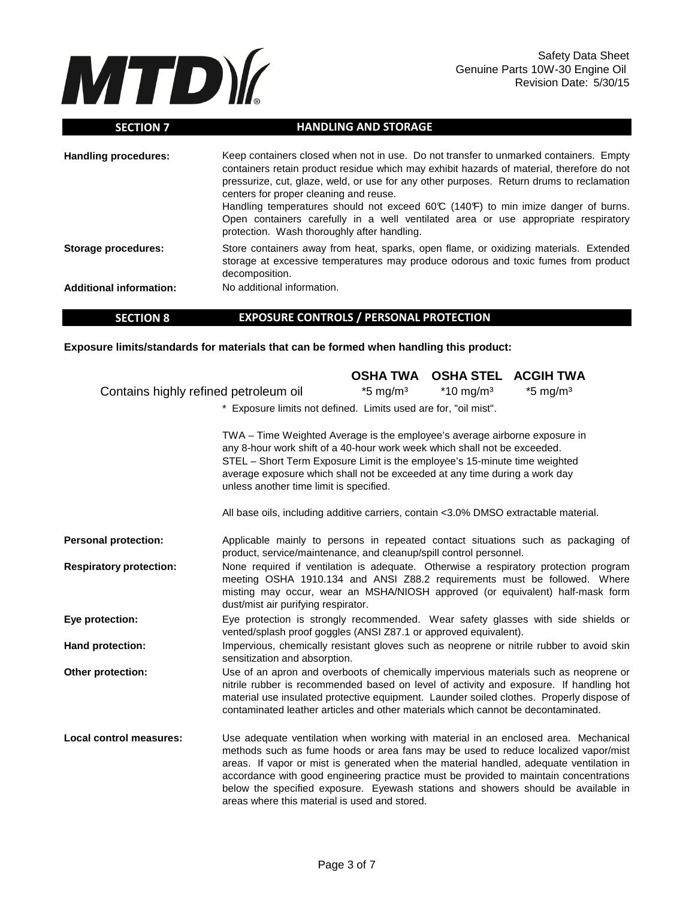

| <b>SECTION 7</b>               | <b>HANDLING AND STORAGE</b>                                                                                                                                                                                                                                                                                                                                                                                                                                                                                                                                |
|--------------------------------|------------------------------------------------------------------------------------------------------------------------------------------------------------------------------------------------------------------------------------------------------------------------------------------------------------------------------------------------------------------------------------------------------------------------------------------------------------------------------------------------------------------------------------------------------------|
| <b>Handling procedures:</b>    | Keep containers closed when not in use. Do not transfer to unmarked containers. Empty<br>containers retain product residue which may exhibit hazards of material, therefore do not<br>pressurize, cut, glaze, weld, or use for any other purposes. Return drums to reclamation<br>centers for proper cleaning and reuse.<br>Handling temperatures should not exceed $60\degree$ (140°F) to min imize danger of burns.<br>Open containers carefully in a well ventilated area or use appropriate respiratory<br>protection. Wash thoroughly after handling. |
| Storage procedures:            | Store containers away from heat, sparks, open flame, or oxidizing materials. Extended<br>storage at excessive temperatures may produce odorous and toxic fumes from product<br>decomposition.                                                                                                                                                                                                                                                                                                                                                              |
| <b>Additional information:</b> | No additional information.                                                                                                                                                                                                                                                                                                                                                                                                                                                                                                                                 |

#### **SECTION 8 EXPOSURE CONTROLS / PERSONAL PROTECTION**

**Exposure limits/standards for materials that can be formed when handling this product:** 

|                                       |                                                                                                                                                                                                                                                                                                                                                                                                                                                                                                     |                        | <b>OSHA TWA OSHA STEL ACGIH TWA</b> |                        |
|---------------------------------------|-----------------------------------------------------------------------------------------------------------------------------------------------------------------------------------------------------------------------------------------------------------------------------------------------------------------------------------------------------------------------------------------------------------------------------------------------------------------------------------------------------|------------------------|-------------------------------------|------------------------|
| Contains highly refined petroleum oil |                                                                                                                                                                                                                                                                                                                                                                                                                                                                                                     | $*5$ mg/m <sup>3</sup> | $*10$ mg/m <sup>3</sup>             | $*5$ mg/m <sup>3</sup> |
|                                       | * Exposure limits not defined. Limits used are for, "oil mist".                                                                                                                                                                                                                                                                                                                                                                                                                                     |                        |                                     |                        |
|                                       | TWA - Time Weighted Average is the employee's average airborne exposure in<br>any 8-hour work shift of a 40-hour work week which shall not be exceeded.<br>STEL - Short Term Exposure Limit is the employee's 15-minute time weighted<br>average exposure which shall not be exceeded at any time during a work day<br>unless another time limit is specified.                                                                                                                                      |                        |                                     |                        |
|                                       | All base oils, including additive carriers, contain <3.0% DMSO extractable material.                                                                                                                                                                                                                                                                                                                                                                                                                |                        |                                     |                        |
| <b>Personal protection:</b>           | Applicable mainly to persons in repeated contact situations such as packaging of<br>product, service/maintenance, and cleanup/spill control personnel.                                                                                                                                                                                                                                                                                                                                              |                        |                                     |                        |
| <b>Respiratory protection:</b>        | None required if ventilation is adequate. Otherwise a respiratory protection program<br>meeting OSHA 1910.134 and ANSI Z88.2 requirements must be followed. Where<br>misting may occur, wear an MSHA/NIOSH approved (or equivalent) half-mask form<br>dust/mist air purifying respirator.                                                                                                                                                                                                           |                        |                                     |                        |
| Eye protection:                       | Eye protection is strongly recommended. Wear safety glasses with side shields or<br>vented/splash proof goggles (ANSI Z87.1 or approved equivalent).                                                                                                                                                                                                                                                                                                                                                |                        |                                     |                        |
| <b>Hand protection:</b>               | Impervious, chemically resistant gloves such as neoprene or nitrile rubber to avoid skin<br>sensitization and absorption.                                                                                                                                                                                                                                                                                                                                                                           |                        |                                     |                        |
| Other protection:                     | Use of an apron and overboots of chemically impervious materials such as neoprene or<br>nitrile rubber is recommended based on level of activity and exposure. If handling hot<br>material use insulated protective equipment. Launder soiled clothes. Properly dispose of<br>contaminated leather articles and other materials which cannot be decontaminated.                                                                                                                                     |                        |                                     |                        |
| <b>Local control measures:</b>        | Use adequate ventilation when working with material in an enclosed area. Mechanical<br>methods such as fume hoods or area fans may be used to reduce localized vapor/mist<br>areas. If vapor or mist is generated when the material handled, adequate ventilation in<br>accordance with good engineering practice must be provided to maintain concentrations<br>below the specified exposure. Eyewash stations and showers should be available in<br>areas where this material is used and stored. |                        |                                     |                        |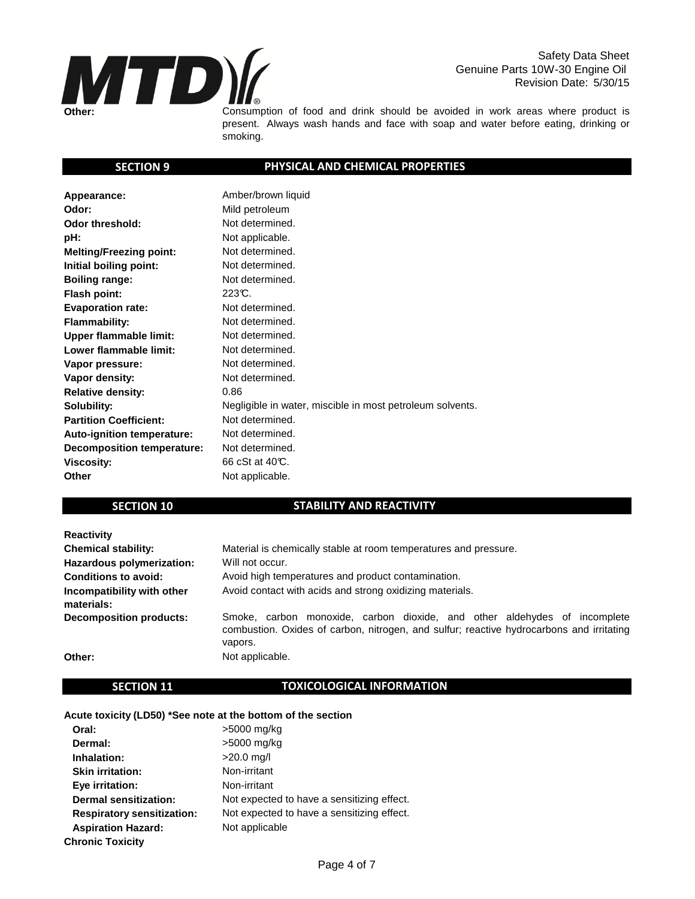

Safety Data Sheet Genuine Parts 10W-30 Engine Oil Revision Date: 5/30/15

Consumption of food and drink should be avoided in work areas where product is present. Always wash hands and face with soap and water before eating, drinking or smoking.

## **SECTION 9**

## **PHYSICAL AND CHEMICAL PROPERTIES**

| Appearance:                       | Amber/brown liquid                                        |
|-----------------------------------|-----------------------------------------------------------|
| Odor:                             | Mild petroleum                                            |
| Odor threshold:                   | Not determined.                                           |
| pH:                               | Not applicable.                                           |
| <b>Melting/Freezing point:</b>    | Not determined.                                           |
| Initial boiling point:            | Not determined.                                           |
| <b>Boiling range:</b>             | Not determined.                                           |
| Flash point:                      | 223C.                                                     |
| <b>Evaporation rate:</b>          | Not determined.                                           |
| <b>Flammability:</b>              | Not determined.                                           |
| <b>Upper flammable limit:</b>     | Not determined.                                           |
| Lower flammable limit:            | Not determined.                                           |
| Vapor pressure:                   | Not determined.                                           |
| Vapor density:                    | Not determined.                                           |
| <b>Relative density:</b>          | 0.86                                                      |
| Solubility:                       | Negligible in water, miscible in most petroleum solvents. |
| <b>Partition Coefficient:</b>     | Not determined.                                           |
| Auto-ignition temperature:        | Not determined.                                           |
| <b>Decomposition temperature:</b> | Not determined.                                           |
| <b>Viscosity:</b>                 | 66 cSt at 40°C.                                           |
| <b>Other</b>                      | Not applicable.                                           |

## **SECTION 10**

## **STABILITY AND REACTIVITY**

| <b>Reactivity</b>                        |                                                                                                                                                                                  |
|------------------------------------------|----------------------------------------------------------------------------------------------------------------------------------------------------------------------------------|
| <b>Chemical stability:</b>               | Material is chemically stable at room temperatures and pressure.                                                                                                                 |
| Hazardous polymerization:                | Will not occur.                                                                                                                                                                  |
| <b>Conditions to avoid:</b>              | Avoid high temperatures and product contamination.                                                                                                                               |
| Incompatibility with other<br>materials: | Avoid contact with acids and strong oxidizing materials.                                                                                                                         |
| <b>Decomposition products:</b>           | Smoke, carbon monoxide, carbon dioxide, and other aldehydes of incomplete<br>combustion. Oxides of carbon, nitrogen, and sulfur; reactive hydrocarbons and irritating<br>vapors. |
| Other:                                   | Not applicable.                                                                                                                                                                  |

## **SECTION 11**

### **TOXICOLOGICAL INFORMATION**

#### **Acute toxicity (LD50) \*See note at the bottom of the section**

| Oral:                             | >5000 mg/kg                                |
|-----------------------------------|--------------------------------------------|
| Dermal:                           | >5000 mg/kg                                |
| Inhalation:                       | $>20.0$ mg/l                               |
| <b>Skin irritation:</b>           | Non-irritant                               |
| Eye irritation:                   | Non-irritant                               |
| Dermal sensitization:             | Not expected to have a sensitizing effect. |
| <b>Respiratory sensitization:</b> | Not expected to have a sensitizing effect. |
| <b>Aspiration Hazard:</b>         | Not applicable                             |
| <b>Chronic Toxicity</b>           |                                            |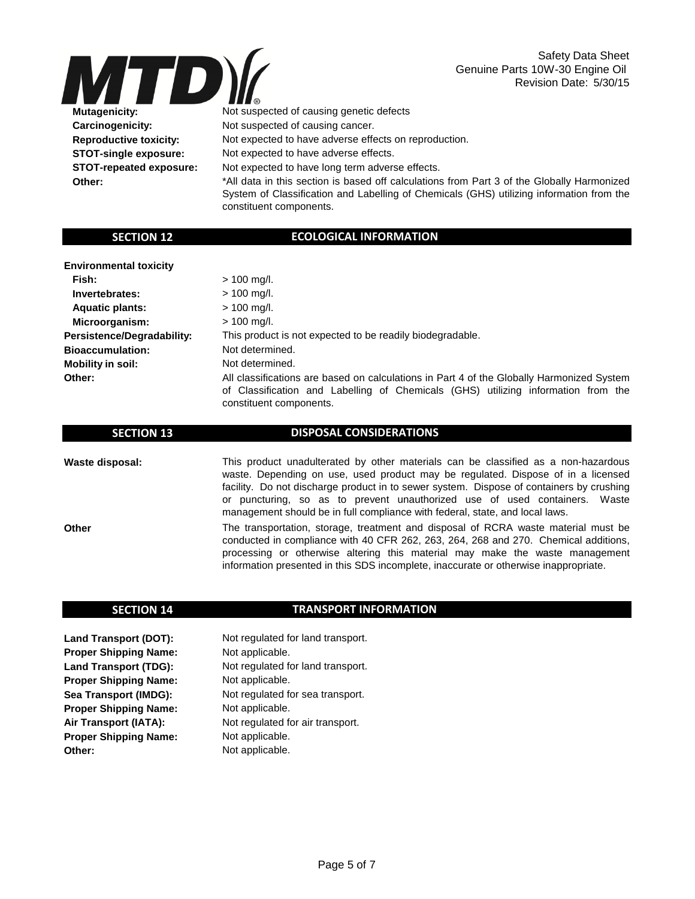

Safety Data Sheet Genuine Parts 10W-30 Engine Oil Revision Date: 5/30/15

 **Mutagenicity: Carcinogenicity: Reproductive toxicity: STOT-single exposure: STOT-repeated exposure: Other:**

Not suspected of causing genetic defects

Not suspected of causing cancer.

Not expected to have adverse effects on reproduction.

Not expected to have adverse effects.

Not expected to have long term adverse effects.

\*All data in this section is based off calculations from Part 3 of the Globally Harmonized System of Classification and Labelling of Chemicals (GHS) utilizing information from the constituent components.

## **SECTION 12**

## **ECOLOGICAL INFORMATION**

 **Invertebrates: Aquatic plants: Microorganism: Persistence/Degradability:**

**Bioaccumulation: Mobility in soil:**

 **Fish:**

**Other:**

| $> 100$ mg/l.                                                                             |
|-------------------------------------------------------------------------------------------|
| $> 100$ mg/l.                                                                             |
| $> 100$ mg/l.                                                                             |
| $> 100$ mg/l.                                                                             |
| This product is not expected to be readily biodegradable.                                 |
| Not determined.                                                                           |
| Not determined.                                                                           |
| All classifications are based on calculations in Part 4 of the Globally Harmonized System |
| of Classification and Labelling of Chemicals (GHS) utilizing information from the         |
| constituent components.                                                                   |

#### **SECTION 13**

### **DISPOSAL CONSIDERATIONS**

**Waste disposal:** This product unadulterated by other materials can be classified as a non-hazardous waste. Depending on use, used product may be regulated. Dispose of in a licensed facility. Do not discharge product in to sewer system. Dispose of containers by crushing or puncturing, so as to prevent unauthorized use of used containers. Waste management should be in full compliance with federal, state, and local laws.

**Other**

The transportation, storage, treatment and disposal of RCRA waste material must be conducted in compliance with 40 CFR 262, 263, 264, 268 and 270. Chemical additions, processing or otherwise altering this material may make the waste management information presented in this SDS incomplete, inaccurate or otherwise inappropriate.

### **SECTION 14**

#### **TRANSPORT INFORMATION**

**Land Transport (DOT): Proper Shipping Name: Land Transport (TDG): Proper Shipping Name: Sea Transport (IMDG): Proper Shipping Name: Air Transport (IATA): Proper Shipping Name: Other:**

Not applicable. Not regulated for land transport. Not regulated for land transport. Not regulated for sea transport. Not regulated for air transport. Not applicable. Not applicable. Not applicable. Not applicable.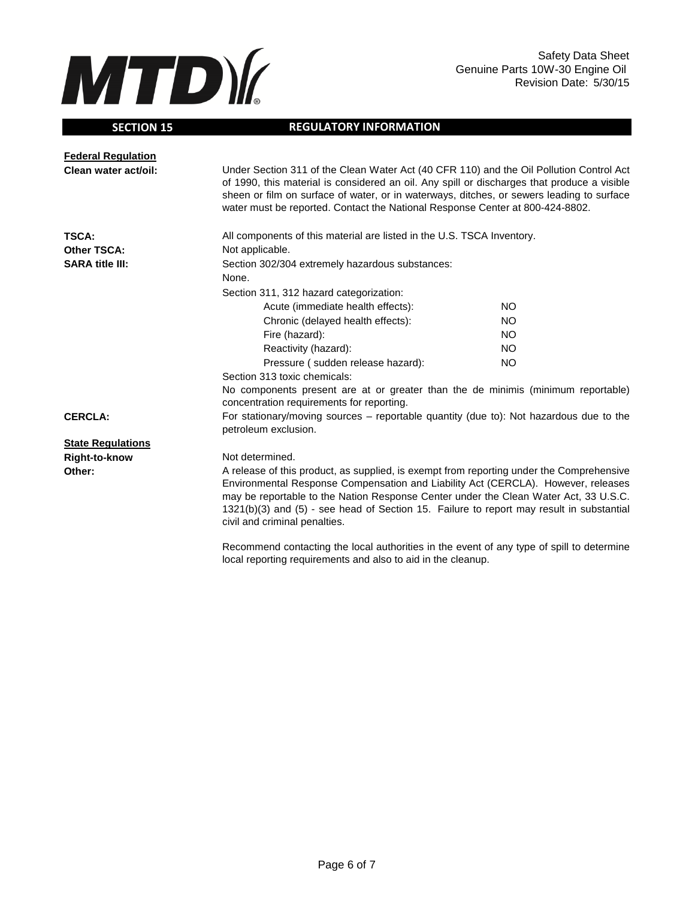

## **SECTION 15**

## **REGULATORY INFORMATION**

| <b>Federal Regulation</b> |                                                                                                                                                                                                                                                                                                                                                                                                    |           |  |
|---------------------------|----------------------------------------------------------------------------------------------------------------------------------------------------------------------------------------------------------------------------------------------------------------------------------------------------------------------------------------------------------------------------------------------------|-----------|--|
| Clean water act/oil:      | Under Section 311 of the Clean Water Act (40 CFR 110) and the Oil Pollution Control Act<br>of 1990, this material is considered an oil. Any spill or discharges that produce a visible<br>sheen or film on surface of water, or in waterways, ditches, or sewers leading to surface<br>water must be reported. Contact the National Response Center at 800-424-8802.                               |           |  |
| <b>TSCA:</b>              | All components of this material are listed in the U.S. TSCA Inventory.                                                                                                                                                                                                                                                                                                                             |           |  |
| <b>Other TSCA:</b>        | Not applicable.                                                                                                                                                                                                                                                                                                                                                                                    |           |  |
| <b>SARA title III:</b>    | Section 302/304 extremely hazardous substances:                                                                                                                                                                                                                                                                                                                                                    |           |  |
|                           | None.                                                                                                                                                                                                                                                                                                                                                                                              |           |  |
|                           | Section 311, 312 hazard categorization:                                                                                                                                                                                                                                                                                                                                                            |           |  |
|                           | Acute (immediate health effects):                                                                                                                                                                                                                                                                                                                                                                  | NO.       |  |
|                           | Chronic (delayed health effects):                                                                                                                                                                                                                                                                                                                                                                  | <b>NO</b> |  |
|                           | Fire (hazard):                                                                                                                                                                                                                                                                                                                                                                                     | NO.       |  |
|                           | Reactivity (hazard):                                                                                                                                                                                                                                                                                                                                                                               | <b>NO</b> |  |
|                           | Pressure (sudden release hazard):                                                                                                                                                                                                                                                                                                                                                                  | <b>NO</b> |  |
|                           | Section 313 toxic chemicals:                                                                                                                                                                                                                                                                                                                                                                       |           |  |
|                           | No components present are at or greater than the de minimis (minimum reportable)<br>concentration requirements for reporting.                                                                                                                                                                                                                                                                      |           |  |
| <b>CERCLA:</b>            | For stationary/moving sources – reportable quantity (due to): Not hazardous due to the<br>petroleum exclusion.                                                                                                                                                                                                                                                                                     |           |  |
| <b>State Regulations</b>  |                                                                                                                                                                                                                                                                                                                                                                                                    |           |  |
| Right-to-know             | Not determined.                                                                                                                                                                                                                                                                                                                                                                                    |           |  |
| Other:                    | A release of this product, as supplied, is exempt from reporting under the Comprehensive<br>Environmental Response Compensation and Liability Act (CERCLA). However, releases<br>may be reportable to the Nation Response Center under the Clean Water Act, 33 U.S.C.<br>1321(b)(3) and (5) - see head of Section 15. Failure to report may result in substantial<br>civil and criminal penalties. |           |  |
|                           | Recommend contacting the local authorities in the event of any type of spill to determine                                                                                                                                                                                                                                                                                                          |           |  |

Recommend contacting the local authorities in the event of any type of spill to determine local reporting requirements and also to aid in the cleanup.